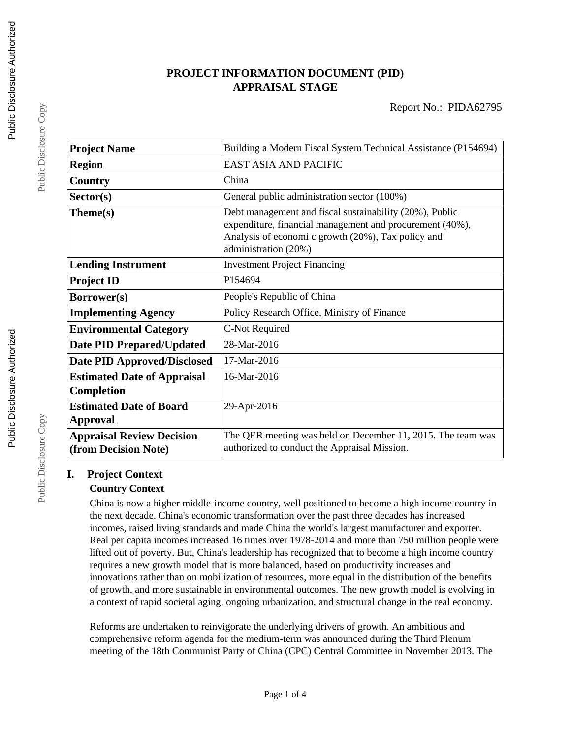# **PROJECT INFORMATION DOCUMENT (PID) APPRAISAL STAGE**

| <b>Project Name</b>                                      | Building a Modern Fiscal System Technical Assistance (P154694)                                                                                                                                    |  |  |
|----------------------------------------------------------|---------------------------------------------------------------------------------------------------------------------------------------------------------------------------------------------------|--|--|
| <b>Region</b>                                            | <b>EAST ASIA AND PACIFIC</b>                                                                                                                                                                      |  |  |
| Country                                                  | China                                                                                                                                                                                             |  |  |
| Sector(s)                                                | General public administration sector (100%)                                                                                                                                                       |  |  |
| Theme(s)                                                 | Debt management and fiscal sustainability (20%), Public<br>expenditure, financial management and procurement (40%),<br>Analysis of economi c growth (20%), Tax policy and<br>administration (20%) |  |  |
| <b>Lending Instrument</b>                                | <b>Investment Project Financing</b>                                                                                                                                                               |  |  |
| <b>Project ID</b>                                        | P154694                                                                                                                                                                                           |  |  |
| Borrower(s)                                              | People's Republic of China                                                                                                                                                                        |  |  |
| <b>Implementing Agency</b>                               | Policy Research Office, Ministry of Finance                                                                                                                                                       |  |  |
| <b>Environmental Category</b>                            | C-Not Required                                                                                                                                                                                    |  |  |
| <b>Date PID Prepared/Updated</b>                         | 28-Mar-2016                                                                                                                                                                                       |  |  |
| <b>Date PID Approved/Disclosed</b>                       | 17-Mar-2016                                                                                                                                                                                       |  |  |
| <b>Estimated Date of Appraisal</b><br><b>Completion</b>  | 16-Mar-2016                                                                                                                                                                                       |  |  |
| <b>Estimated Date of Board</b><br>Approval               | 29-Apr-2016                                                                                                                                                                                       |  |  |
| <b>Appraisal Review Decision</b><br>(from Decision Note) | The QER meeting was held on December 11, 2015. The team was<br>authorized to conduct the Appraisal Mission.                                                                                       |  |  |

# **I. Project Context**

# **Country Context**

China is now a higher middle-income country, well positioned to become a high income country in the next decade. China's economic transformation over the past three decades has increased incomes, raised living standards and made China the world's largest manufacturer and exporter. Real per capita incomes increased 16 times over 1978-2014 and more than 750 million people were lifted out of poverty. But, China's leadership has recognized that to become a high income country requires a new growth model that is more balanced, based on productivity increases and innovations rather than on mobilization of resources, more equal in the distribution of the benefits of growth, and more sustainable in environmental outcomes. The new growth model is evolving in a context of rapid societal aging, ongoing urbanization, and structural change in the real economy.

Reforms are undertaken to reinvigorate the underlying drivers of growth. An ambitious and comprehensive reform agenda for the medium-term was announced during the Third Plenum meeting of the 18th Communist Party of China (CPC) Central Committee in November 2013. The

Public Disclosure Copy

Public Disclosure Copy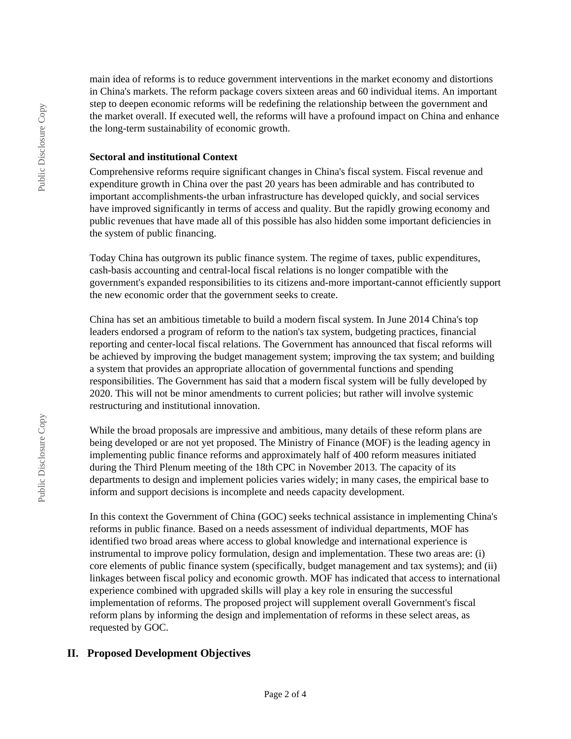main idea of reforms is to reduce government interventions in the market economy and distortions in China's markets. The reform package covers sixteen areas and 60 individual items. An important step to deepen economic reforms will be redefining the relationship between the government and the market overall. If executed well, the reforms will have a profound impact on China and enhance the long-term sustainability of economic growth.

#### **Sectoral and institutional Context**

Comprehensive reforms require significant changes in China's fiscal system. Fiscal revenue and expenditure growth in China over the past 20 years has been admirable and has contributed to important accomplishments-the urban infrastructure has developed quickly, and social services have improved significantly in terms of access and quality. But the rapidly growing economy and public revenues that have made all of this possible has also hidden some important deficiencies in the system of public financing.

Today China has outgrown its public finance system. The regime of taxes, public expenditures, cash-basis accounting and central-local fiscal relations is no longer compatible with the government's expanded responsibilities to its citizens and-more important-cannot efficiently support the new economic order that the government seeks to create.

China has set an ambitious timetable to build a modern fiscal system. In June 2014 China's top leaders endorsed a program of reform to the nation's tax system, budgeting practices, financial reporting and center-local fiscal relations. The Government has announced that fiscal reforms will be achieved by improving the budget management system; improving the tax system; and building a system that provides an appropriate allocation of governmental functions and spending responsibilities. The Government has said that a modern fiscal system will be fully developed by 2020. This will not be minor amendments to current policies; but rather will involve systemic restructuring and institutional innovation.

While the broad proposals are impressive and ambitious, many details of these reform plans are being developed or are not yet proposed. The Ministry of Finance (MOF) is the leading agency in implementing public finance reforms and approximately half of 400 reform measures initiated during the Third Plenum meeting of the 18th CPC in November 2013. The capacity of its departments to design and implement policies varies widely; in many cases, the empirical base to inform and support decisions is incomplete and needs capacity development.

In this context the Government of China (GOC) seeks technical assistance in implementing China's reforms in public finance. Based on a needs assessment of individual departments, MOF has identified two broad areas where access to global knowledge and international experience is instrumental to improve policy formulation, design and implementation. These two areas are: (i) core elements of public finance system (specifically, budget management and tax systems); and (ii) linkages between fiscal policy and economic growth. MOF has indicated that access to international experience combined with upgraded skills will play a key role in ensuring the successful implementation of reforms. The proposed project will supplement overall Government's fiscal reform plans by informing the design and implementation of reforms in these select areas, as requested by GOC.

# **II. Proposed Development Objectives**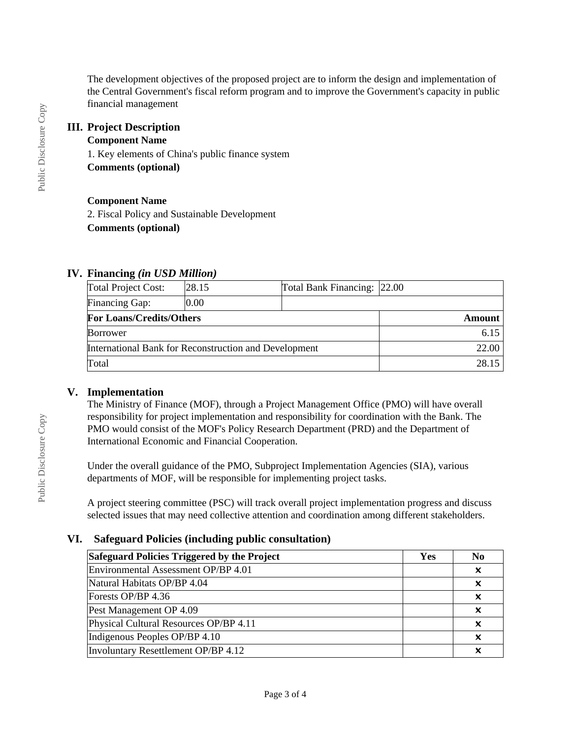The development objectives of the proposed project are to inform the design and implementation of the Central Government's fiscal reform program and to improve the Government's capacity in public financial management

#### **III. Project Description**

#### **Component Name**

1. Key elements of China's public finance system **Comments (optional)**

#### **Component Name**

2. Fiscal Policy and Sustainable Development **Comments (optional)**

# **IV. Financing** *(in USD Million)*

| Total Project Cost:                                   | 28.15 | Total Bank Financing: 22.00 |        |
|-------------------------------------------------------|-------|-----------------------------|--------|
| Financing Gap:                                        | 0.00  |                             |        |
| <b>For Loans/Credits/Others</b>                       |       |                             | Amount |
| <b>Borrower</b>                                       |       |                             | 6.15   |
| International Bank for Reconstruction and Development |       | 22.00                       |        |
| Total                                                 |       |                             | 28.15  |

# **V. Implementation**

The Ministry of Finance (MOF), through a Project Management Office (PMO) will have overall responsibility for project implementation and responsibility for coordination with the Bank. The PMO would consist of the MOF's Policy Research Department (PRD) and the Department of International Economic and Financial Cooperation.

Under the overall guidance of the PMO, Subproject Implementation Agencies (SIA), various departments of MOF, will be responsible for implementing project tasks.

A project steering committee (PSC) will track overall project implementation progress and discuss selected issues that may need collective attention and coordination among different stakeholders.

# **VI. Safeguard Policies (including public consultation)**

| Safeguard Policies Triggered by the Project |  | N <sub>0</sub>            |
|---------------------------------------------|--|---------------------------|
| Environmental Assessment OP/BP 4.01         |  | X                         |
| Natural Habitats OP/BP 4.04                 |  | x                         |
| Forests OP/BP 4.36                          |  | $\boldsymbol{\mathsf{x}}$ |
| Pest Management OP 4.09                     |  | $\boldsymbol{\mathsf{x}}$ |
| Physical Cultural Resources OP/BP 4.11      |  | x                         |
| Indigenous Peoples OP/BP 4.10               |  | X                         |
| Involuntary Resettlement OP/BP 4.12         |  |                           |